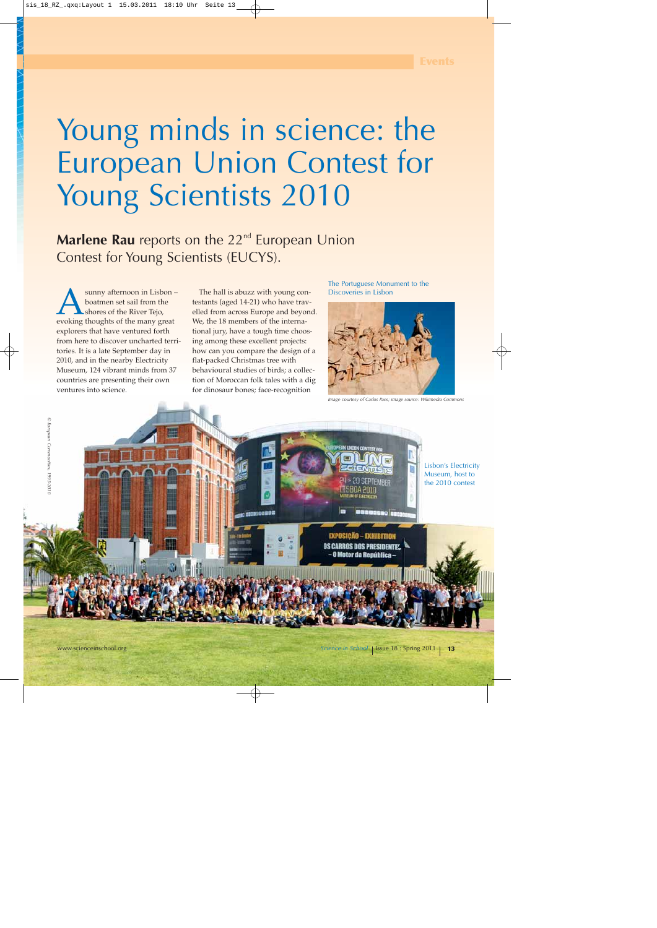## Young minds in science: the European Union Contest for Young Scientists 2010

**Marlene Rau** reports on the 22<sup>nd</sup> European Union Contest for Young Scientists (EUCYS).

**Asumple 19 Supplementary School** boatmen set sail from the shores of the River Tejo, evoking thoughts of the many great boatmen set sail from the shores of the River Tejo, explorers that have ventured forth from here to discover uncharted territories. It is a late September day in 2010, and in the nearby Electricity Museum, 124 vibrant minds from 37 countries are presenting their own ventures into science.

The hall is abuzz with young contestants (aged 14-21) who have travelled from across Europe and beyond. We, the 18 members of the international jury, have a tough time choosing among these excellent projects: how can you compare the design of a flat-packed Christmas tree with behavioural studies of birds; a collection of Moroccan folk tales with a dig for dinosaur bones; face-recognition

The Portuguese Monument to the Discoveries in Lisbon



*Image courtesy of Carlos Paes; image source: Wikimedia Commons*

TEMRED

Lisbon's Electricity Museum, host to the 2010 contest

*© European Communities, 1995-2010*

© European Communities, 1995-201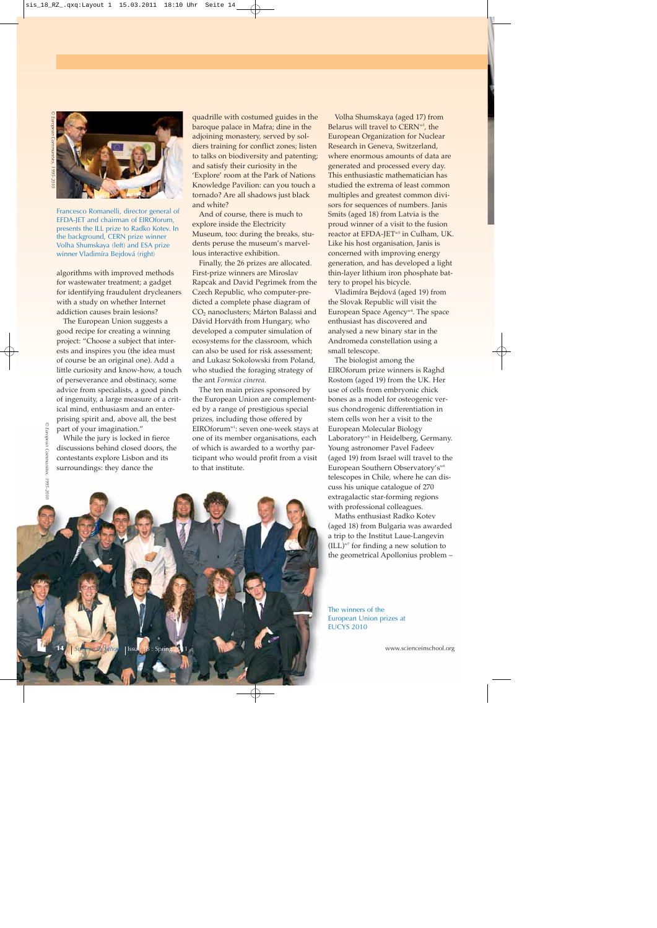

Francesco Romanelli, director general of EFDA-JET and chairman of EIROforum, presents the ILL prize to Radko Kotev. In the background, CERN prize winner Volha Shumskaya (left) and ESA prize winner Vladimíra Bejdová (right)

algorithms with improved methods for wastewater treatment; a gadget for identifying fraudulent drycleaners with a study on whether Internet addiction causes brain lesions?

The European Union suggests a good recipe for creating a winning project: "Choose a subject that interests and inspires you (the idea must of course be an original one). Add a little curiosity and know-how, a touch of perseverance and obstinacy, some advice from specialists, a good pinch of ingenuity, a large measure of a critical mind, enthusiasm and an enterprising spirit and, above all, the best part of your imagination."

While the jury is locked in fierce discussions behind closed doors, the contestants explore Lisbon and its surroundings: they dance the

quadrille with costumed guides in the baroque palace in Mafra; dine in the adjoining monastery, served by soldiers training for conflict zones; listen to talks on biodiversity and patenting; and satisfy their curiosity in the 'Explore' room at the Park of Nations Knowledge Pavilion: can you touch a tornado? Are all shadows just black and white?

And of course, there is much to explore inside the Electricity Museum, too: during the breaks, students peruse the museum's marvellous interactive exhibition.

Finally, the 26 prizes are allocated. First-prize winners are Miroslav Rapcak and David Pegrimek from the Czech Republic, who computer-predicted a complete phase diagram of CO<sub>2</sub> nanoclusters; Márton Balassi and Dávid Horváth from Hungary, who developed a computer simulation of ecosystems for the classroom, which can also be used for risk assessment; and Lukasz Sokolowski from Poland, who studied the foraging strategy of the ant *Formica cinerea*.

The ten main prizes sponsored by the European Union are complemented by a range of prestigious special prizes, including those offered by EIROforumw1: seven one-week stays at one of its member organisations, each of which is awarded to a worthy participant who would profit from a visit to that institute.

Volha Shumskaya (aged 17) from Belarus will travel to CERN<sup>w2</sup>, the European Organization for Nuclear Research in Geneva, Switzerland, where enormous amounts of data are generated and processed every day. This enthusiastic mathematician has studied the extrema of least common multiples and greatest common divisors for sequences of numbers. Janis Smits (aged 18) from Latvia is the proud winner of a visit to the fusion reactor at EFDA-JET<sup>w3</sup> in Culham, UK. Like his host organisation, Janis is concerned with improving energy generation, and has developed a light thin-layer lithium iron phosphate battery to propel his bicycle.

Vladimíra Bejdová (aged 19) from the Slovak Republic will visit the European Space Agency<sup>w4</sup>. The space enthusiast has discovered and analysed a new binary star in the Andromeda constellation using a small telescope.

The biologist among the EIROforum prize winners is Raghd Rostom (aged 19) from the UK. Her use of cells from embryonic chick bones as a model for osteogenic versus chondrogenic differentiation in stem cells won her a visit to the European Molecular Biology Laboratory<sup>w5</sup> in Heidelberg, Germany. Young astronomer Pavel Fadeev (aged 19) from Israel will travel to the European Southern Observatory's<sup>w6</sup> telescopes in Chile, where he can discuss his unique catalogue of 270 extragalactic star-forming regions with professional colleagues.

Maths enthusiast Radko Kotev (aged 18) from Bulgaria was awarded a trip to the Institut Laue-Langevin  $(ILL)^{w7}$  for finding a new solution to the geometrical Apollonius problem –

© European Communities,



The winners of the European Union prizes at EUCYS 2010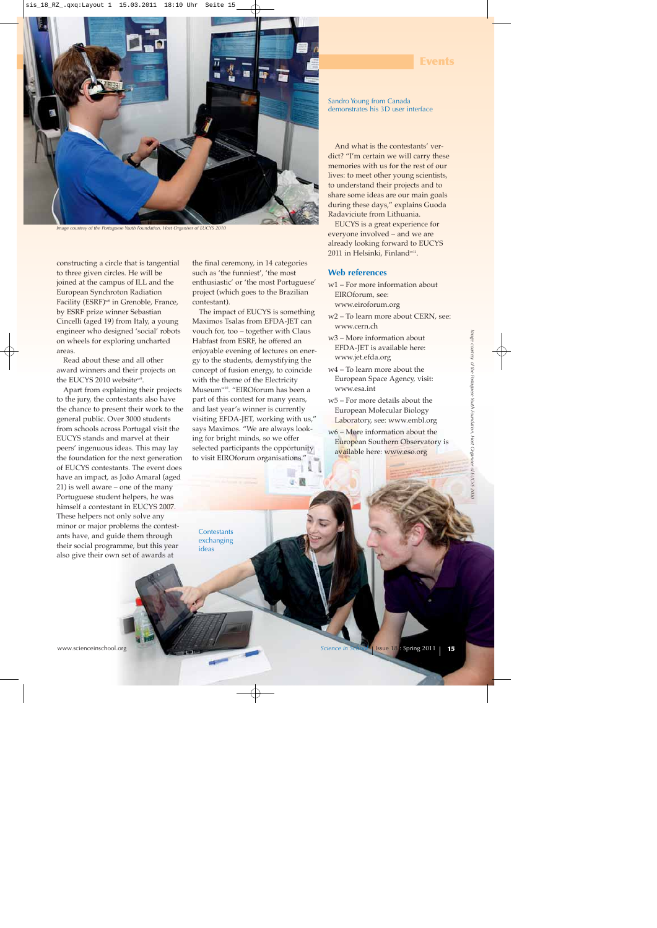

*Image courtesy of the Portuguese Youth Foundation, Host Organiser of EUCYS 2010*

constructing a circle that is tangential to three given circles. He will be joined at the campus of ILL and the European Synchroton Radiation Facility (ESRF)w8 in Grenoble, France, by ESRF prize winner Sebastian Cincelli (aged 19) from Italy, a young engineer who designed 'social' robots on wheels for exploring uncharted areas.

Read about these and all other award winners and their projects on the EUCYS 2010 website<sup>w9</sup>.

Apart from explaining their projects to the jury, the contestants also have the chance to present their work to the general public. Over 3000 students from schools across Portugal visit the EUCYS stands and marvel at their peers' ingenuous ideas. This may lay the foundation for the next generation of EUCYS contestants. The event does have an impact, as João Amaral (aged 21) is well aware – one of the many Portuguese student helpers, he was himself a contestant in EUCYS 2007. These helpers not only solve any minor or major problems the contestants have, and guide them through their social programme, but this year also give their own set of awards at

the final ceremony, in 14 categories such as 'the funniest', 'the most enthusiastic' or 'the most Portuguese' project (which goes to the Brazilian contestant).

The impact of EUCYS is something Maximos Tsalas from EFDA-JET can vouch for, too – together with Claus Habfast from ESRF, he offered an enjoyable evening of lectures on energy to the students, demystifying the concept of fusion energy, to coincide with the theme of the Electricity Museum<sup>w10</sup>. "EIROforum has been a part of this contest for many years, and last year's winner is currently visiting EFDA-JET, working with us," says Maximos. "We are always looking for bright minds, so we offer selected participants the opportunity to visit EIROforum organisations.'

ü

Sandro Young from Canada demonstrates his 3D user interface

**Events**

And what is the contestants' verdict? "I'm certain we will carry these memories with us for the rest of our lives: to meet other young scientists, to understand their projects and to share some ideas are our main goals during these days," explains Guoda Radaviciute from Lithuania.

EUCYS is a great experience for everyone involved – and we are already looking forward to EUCYS 2011 in Helsinki, Finland<sup>w11</sup>.

## **Web references**

- w1 For more information about EIROforum, see: www.eiroforum.org
- w2 To learn more about CERN, see: www.cern.ch
- w3 More information about EFDA-JET is available here: www.jet.efda.org
- w4 To learn more about the European Space Agency, visit: www.esa.int
- w5 For more details about the European Molecular Biology Laboratory, see: www.embl.org
- w6 More information about the European Southern Observatory is available here: www.eso.org

**Contestants** exchanging ideas